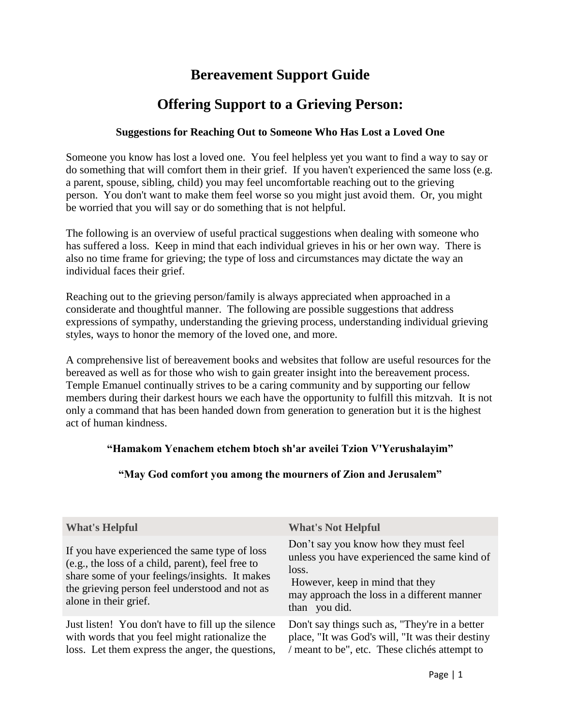# **Bereavement Support Guide**

# **Offering Support to a Grieving Person:**

### **Suggestions for Reaching Out to Someone Who Has Lost a Loved One**

Someone you know has lost a loved one. You feel helpless yet you want to find a way to say or do something that will comfort them in their grief. If you haven't experienced the same loss (e.g. a parent, spouse, sibling, child) you may feel uncomfortable reaching out to the grieving person. You don't want to make them feel worse so you might just avoid them. Or, you might be worried that you will say or do something that is not helpful.

The following is an overview of useful practical suggestions when dealing with someone who has suffered a loss. Keep in mind that each individual grieves in his or her own way. There is also no time frame for grieving; the type of loss and circumstances may dictate the way an individual faces their grief.

Reaching out to the grieving person/family is always appreciated when approached in a considerate and thoughtful manner. The following are possible suggestions that address expressions of sympathy, understanding the grieving process, understanding individual grieving styles, ways to honor the memory of the loved one, and more.

A comprehensive list of bereavement books and websites that follow are useful resources for the bereaved as well as for those who wish to gain greater insight into the bereavement process. Temple Emanuel continually strives to be a caring community and by supporting our fellow members during their darkest hours we each have the opportunity to fulfill this mitzvah. It is not only a command that has been handed down from generation to generation but it is the highest act of human kindness.

## **"Hamakom Yenachem etchem btoch sh'ar aveilei Tzion V'Yerushalayim"**

## **"May God comfort you among the mourners of Zion and Jerusalem"**

| <b>What's Helpful</b>                                                                                                                                                                                                           | <b>What's Not Helpful</b>                                                                                                                                                                         |
|---------------------------------------------------------------------------------------------------------------------------------------------------------------------------------------------------------------------------------|---------------------------------------------------------------------------------------------------------------------------------------------------------------------------------------------------|
| If you have experienced the same type of loss<br>(e.g., the loss of a child, parent), feel free to<br>share some of your feelings/insights. It makes<br>the grieving person feel understood and not as<br>alone in their grief. | Don't say you know how they must feel<br>unless you have experienced the same kind of<br>loss.<br>However, keep in mind that they<br>may approach the loss in a different manner<br>than you did. |
| Just listen! You don't have to fill up the silence<br>with words that you feel might rationalize the<br>loss. Let them express the anger, the questions,                                                                        | Don't say things such as, "They're in a better<br>place, "It was God's will, "It was their destiny<br>/ meant to be", etc. These clichés attempt to                                               |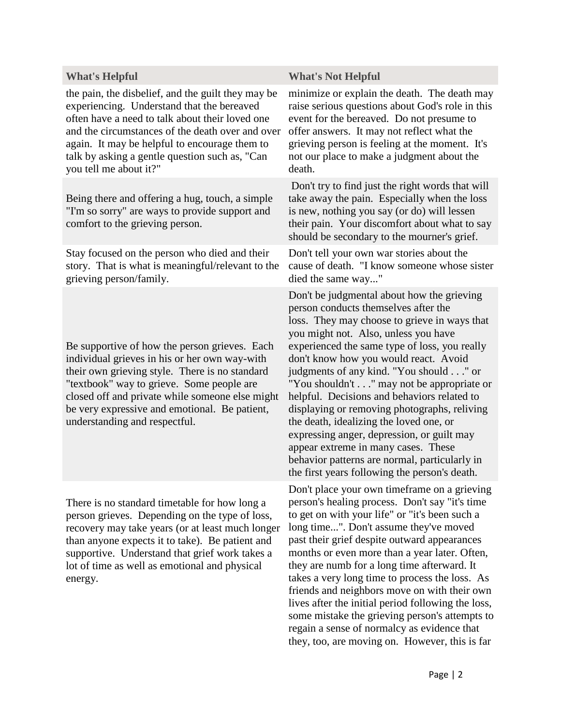the pain, the disbelief, and the guilt they may be experiencing. Understand that the bereaved often have a need to talk about their loved one and the circumstances of the death over and over again. It may be helpful to encourage them to talk by asking a gentle question such as, "Can you tell me about it?"

Being there and offering a hug, touch, a simple "I'm so sorry" are ways to provide support and comfort to the grieving person.

Stay focused on the person who died and their story. That is what is meaningful/relevant to the grieving person/family.

Be supportive of how the person grieves. Each individual grieves in his or her own way-with their own grieving style. There is no standard "textbook" way to grieve. Some people are closed off and private while someone else might be very expressive and emotional. Be patient, understanding and respectful.

There is no standard timetable for how long a person grieves. Depending on the type of loss, recovery may take years (or at least much longer than anyone expects it to take). Be patient and supportive. Understand that grief work takes a lot of time as well as emotional and physical energy.

#### **What's Helpful What's Not Helpful**

minimize or explain the death. The death may raise serious questions about God's role in this event for the bereaved. Do not presume to offer answers. It may not reflect what the grieving person is feeling at the moment. It's not our place to make a judgment about the death.

Don't try to find just the right words that will take away the pain. Especially when the loss is new, nothing you say (or do) will lessen their pain. Your discomfort about what to say should be secondary to the mourner's grief.

Don't tell your own war stories about the cause of death. "I know someone whose sister died the same way..."

Don't be judgmental about how the grieving person conducts themselves after the loss. They may choose to grieve in ways that you might not. Also, unless you have experienced the same type of loss, you really don't know how you would react. Avoid judgments of any kind. "You should . . ." or "You shouldn't . . ." may not be appropriate or helpful. Decisions and behaviors related to displaying or removing photographs, reliving the death, idealizing the loved one, or expressing anger, depression, or guilt may appear extreme in many cases. These behavior patterns are normal, particularly in the first years following the person's death.

Don't place your own timeframe on a grieving person's healing process. Don't say "it's time to get on with your life" or "it's been such a long time...". Don't assume they've moved past their grief despite outward appearances months or even more than a year later. Often, they are numb for a long time afterward. It takes a very long time to process the loss. As friends and neighbors move on with their own lives after the initial period following the loss, some mistake the grieving person's attempts to regain a sense of normalcy as evidence that they, too, are moving on. However, this is far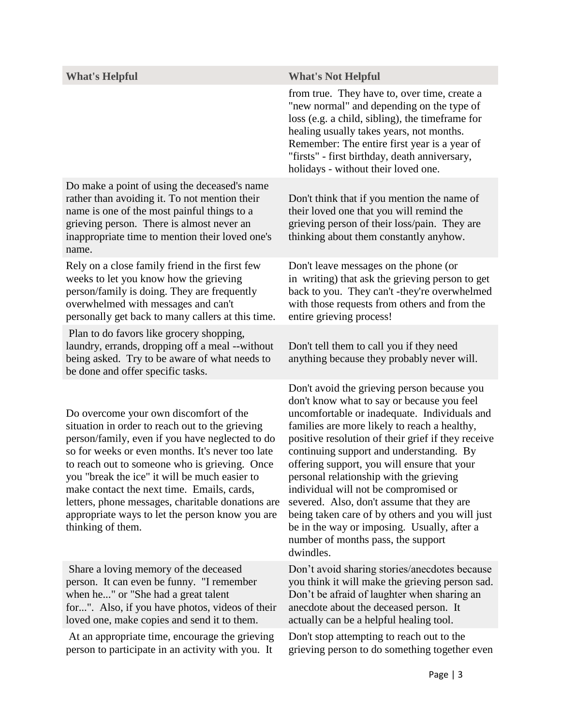| <b>What's Helpful</b>                                                                                                                                                                                                                                                                                                                                                                                                                                                         | <b>What's Not Helpful</b>                                                                                                                                                                                                                                                                                                                                                                                                                                                                                                                                                                                                        |
|-------------------------------------------------------------------------------------------------------------------------------------------------------------------------------------------------------------------------------------------------------------------------------------------------------------------------------------------------------------------------------------------------------------------------------------------------------------------------------|----------------------------------------------------------------------------------------------------------------------------------------------------------------------------------------------------------------------------------------------------------------------------------------------------------------------------------------------------------------------------------------------------------------------------------------------------------------------------------------------------------------------------------------------------------------------------------------------------------------------------------|
|                                                                                                                                                                                                                                                                                                                                                                                                                                                                               | from true. They have to, over time, create a<br>"new normal" and depending on the type of<br>loss (e.g. a child, sibling), the timeframe for<br>healing usually takes years, not months.<br>Remember: The entire first year is a year of<br>"firsts" - first birthday, death anniversary,<br>holidays - without their loved one.                                                                                                                                                                                                                                                                                                 |
| Do make a point of using the deceased's name<br>rather than avoiding it. To not mention their<br>name is one of the most painful things to a<br>grieving person. There is almost never an<br>inappropriate time to mention their loved one's<br>name.                                                                                                                                                                                                                         | Don't think that if you mention the name of<br>their loved one that you will remind the<br>grieving person of their loss/pain. They are<br>thinking about them constantly anyhow.                                                                                                                                                                                                                                                                                                                                                                                                                                                |
| Rely on a close family friend in the first few<br>weeks to let you know how the grieving<br>person/family is doing. They are frequently<br>overwhelmed with messages and can't<br>personally get back to many callers at this time.                                                                                                                                                                                                                                           | Don't leave messages on the phone (or<br>in writing) that ask the grieving person to get<br>back to you. They can't -they're overwhelmed<br>with those requests from others and from the<br>entire grieving process!                                                                                                                                                                                                                                                                                                                                                                                                             |
| Plan to do favors like grocery shopping,<br>laundry, errands, dropping off a meal --without<br>being asked. Try to be aware of what needs to<br>be done and offer specific tasks.                                                                                                                                                                                                                                                                                             | Don't tell them to call you if they need<br>anything because they probably never will.                                                                                                                                                                                                                                                                                                                                                                                                                                                                                                                                           |
| Do overcome your own discomfort of the<br>situation in order to reach out to the grieving<br>person/family, even if you have neglected to do<br>so for weeks or even months. It's never too late<br>to reach out to someone who is grieving. Once<br>you "break the ice" it will be much easier to<br>make contact the next time. Emails, cards,<br>letters, phone messages, charitable donations are<br>appropriate ways to let the person know you are<br>thinking of them. | Don't avoid the grieving person because you<br>don't know what to say or because you feel<br>uncomfortable or inadequate. Individuals and<br>families are more likely to reach a healthy,<br>positive resolution of their grief if they receive<br>continuing support and understanding. By<br>offering support, you will ensure that your<br>personal relationship with the grieving<br>individual will not be compromised or<br>severed. Also, don't assume that they are<br>being taken care of by others and you will just<br>be in the way or imposing. Usually, after a<br>number of months pass, the support<br>dwindles. |
| Share a loving memory of the deceased<br>person. It can even be funny. "I remember<br>when he" or "She had a great talent<br>for". Also, if you have photos, videos of their<br>loved one, make copies and send it to them.                                                                                                                                                                                                                                                   | Don't avoid sharing stories/anecdotes because<br>you think it will make the grieving person sad.<br>Don't be afraid of laughter when sharing an<br>anecdote about the deceased person. It<br>actually can be a helpful healing tool.                                                                                                                                                                                                                                                                                                                                                                                             |
| At an appropriate time, encourage the grieving<br>person to participate in an activity with you. It                                                                                                                                                                                                                                                                                                                                                                           | Don't stop attempting to reach out to the<br>grieving person to do something together even                                                                                                                                                                                                                                                                                                                                                                                                                                                                                                                                       |